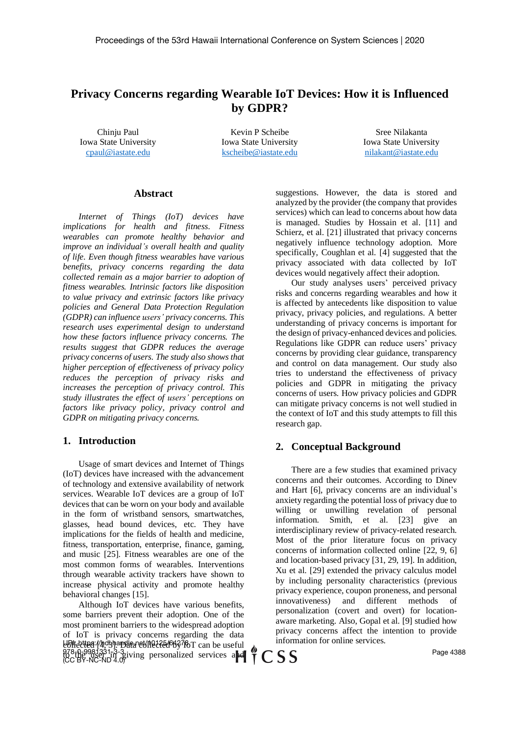# **Privacy Concerns regarding Wearable IoT Devices: How it is Influenced by GDPR?**

Chinju Paul Iowa State University [cpaul@iastate.edu](mailto:cpaul@iastate.edu)

Kevin P Scheibe Iowa State University [kscheibe@iastate.edu](mailto:kscheibe@iastate.edu)

Sree Nilakanta Iowa State University [nilakant@iastate.edu](mailto:nilakant@iastate.edu)

#### **Abstract**

*Internet of Things (IoT) devices have implications for health and fitness. Fitness wearables can promote healthy behavior and improve an individual's overall health and quality of life. Even though fitness wearables have various benefits, privacy concerns regarding the data collected remain as a major barrier to adoption of fitness wearables. Intrinsic factors like disposition to value privacy and extrinsic factors like privacy policies and General Data Protection Regulation (GDPR) can influence users' privacy concerns. This research uses experimental design to understand how these factors influence privacy concerns. The results suggest that GDPR reduces the average privacy concerns of users. The study also shows that higher perception of effectiveness of privacy policy reduces the perception of privacy risks and increases the perception of privacy control. This study illustrates the effect of users' perceptions on factors like privacy policy, privacy control and GDPR on mitigating privacy concerns.*

#### **1. Introduction**

Usage of smart devices and Internet of Things (IoT) devices have increased with the advancement of technology and extensive availability of network services. Wearable IoT devices are a group of IoT devices that can be worn on your body and available in the form of wristband sensors, smartwatches, glasses, head bound devices, etc. They have implications for the fields of health and medicine, fitness, transportation, enterprise, finance, gaming, and music [25]. Fitness wearables are one of the most common forms of wearables. Interventions through wearable activity trackers have shown to increase physical activity and promote healthy behavioral changes [15].

Although IoT devices have various benefits, some barriers prevent their adoption. One of the most prominent barriers to the widespread adoption of IoT is privacy concerns regarding the data bBliecttea //hdshapslea et/1101256/66378 T can be useful 978-0-9981331-3-3<br>{Q\rine user in giving personalized services and (CC BY-NC-ND 4.0)

suggestions. However, the data is stored and analyzed by the provider (the company that provides services) which can lead to concerns about how data is managed. Studies by Hossain et al. [11] and Schierz, et al. [21] illustrated that privacy concerns negatively influence technology adoption. More specifically, Coughlan et al. [4] suggested that the privacy associated with data collected by IoT devices would negatively affect their adoption.

Our study analyses users' perceived privacy risks and concerns regarding wearables and how it is affected by antecedents like disposition to value privacy, privacy policies, and regulations. A better understanding of privacy concerns is important for the design of privacy-enhanced devices and policies. Regulations like GDPR can reduce users' privacy concerns by providing clear guidance, transparency and control on data management. Our study also tries to understand the effectiveness of privacy policies and GDPR in mitigating the privacy concerns of users. How privacy policies and GDPR can mitigate privacy concerns is not well studied in the context of IoT and this study attempts to fill this research gap.

#### **2. Conceptual Background**

CSS

There are a few studies that examined privacy concerns and their outcomes. According to Dinev and Hart [6], privacy concerns are an individual's anxiety regarding the potential loss of privacy due to willing or unwilling revelation of personal information. Smith, et al. [23] give an interdisciplinary review of privacy-related research. Most of the prior literature focus on privacy concerns of information collected online [22, 9, 6] and location-based privacy [31, 29, 19]. In addition, Xu et al. [29] extended the privacy calculus model by including personality characteristics (previous privacy experience, coupon proneness, and personal innovativeness) and different methods of personalization (covert and overt) for locationaware marketing. Also, Gopal et al. [9] studied how privacy concerns affect the intention to provide information for online services.

Page 4388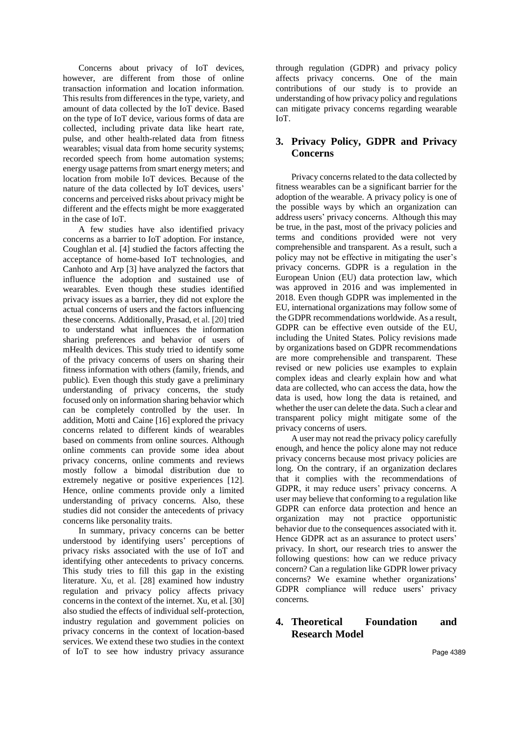Concerns about privacy of IoT devices, however, are different from those of online transaction information and location information. This results from differencesin the type, variety, and amount of data collected by the IoT device. Based on the type of IoT device, various forms of data are collected, including private data like heart rate, pulse, and other health-related data from fitness wearables; visual data from home security systems; recorded speech from home automation systems; energy usage patterns from smart energy meters; and location from mobile IoT devices. Because of the nature of the data collected by IoT devices, users' concerns and perceived risks about privacy might be different and the effects might be more exaggerated in the case of IoT.

A few studies have also identified privacy concerns as a barrier to IoT adoption. For instance, Coughlan et al. [4] studied the factors affecting the acceptance of home-based IoT technologies, and Canhoto and Arp [3] have analyzed the factors that influence the adoption and sustained use of wearables. Even though these studies identified privacy issues as a barrier, they did not explore the actual concerns of users and the factors influencing these concerns. Additionally, Prasad, et al. [20] tried to understand what influences the information sharing preferences and behavior of users of mHealth devices. This study tried to identify some of the privacy concerns of users on sharing their fitness information with others (family, friends, and public). Even though this study gave a preliminary understanding of privacy concerns, the study focused only on information sharing behavior which can be completely controlled by the user. In addition, Motti and Caine [16] explored the privacy concerns related to different kinds of wearables based on comments from online sources. Although online comments can provide some idea about privacy concerns, online comments and reviews mostly follow a bimodal distribution due to extremely negative or positive experiences [12]. Hence, online comments provide only a limited understanding of privacy concerns. Also, these studies did not consider the antecedents of privacy concerns like personality traits.

In summary, privacy concerns can be better understood by identifying users' perceptions of privacy risks associated with the use of IoT and identifying other antecedents to privacy concerns. This study tries to fill this gap in the existing literature. Xu, et al. [28] examined how industry regulation and privacy policy affects privacy concerns in the context of the internet. Xu, et al. [30] also studied the effects of individual self-protection, industry regulation and government policies on privacy concerns in the context of location-based services. We extend these two studies in the context of IoT to see how industry privacy assurance through regulation (GDPR) and privacy policy affects privacy concerns. One of the main contributions of our study is to provide an understanding of how privacy policy and regulations can mitigate privacy concerns regarding wearable IoT.

# **3. Privacy Policy, GDPR and Privacy Concerns**

Privacy concerns related to the data collected by fitness wearables can be a significant barrier for the adoption of the wearable. A privacy policy is one of the possible ways by which an organization can address users' privacy concerns. Although this may be true, in the past, most of the privacy policies and terms and conditions provided were not very comprehensible and transparent. As a result, such a policy may not be effective in mitigating the user's privacy concerns. GDPR is a regulation in the European Union (EU) data protection law, which was approved in 2016 and was implemented in 2018. Even though GDPR was implemented in the EU, international organizations may follow some of the GDPR recommendations worldwide. As a result, GDPR can be effective even outside of the EU, including the United States. Policy revisions made by organizations based on GDPR recommendations are more comprehensible and transparent. These revised or new policies use examples to explain complex ideas and clearly explain how and what data are collected, who can access the data, how the data is used, how long the data is retained, and whether the user can delete the data. Such a clear and transparent policy might mitigate some of the privacy concerns of users.

A user may not read the privacy policy carefully enough, and hence the policy alone may not reduce privacy concerns because most privacy policies are long. On the contrary, if an organization declares that it complies with the recommendations of GDPR, it may reduce users' privacy concerns. A user may believe that conforming to a regulation like GDPR can enforce data protection and hence an organization may not practice opportunistic behavior due to the consequences associated with it. Hence GDPR act as an assurance to protect users' privacy. In short, our research tries to answer the following questions: how can we reduce privacy concern? Can a regulation like GDPR lower privacy concerns? We examine whether organizations' GDPR compliance will reduce users' privacy concerns.

# **4. Theoretical Foundation and Research Model**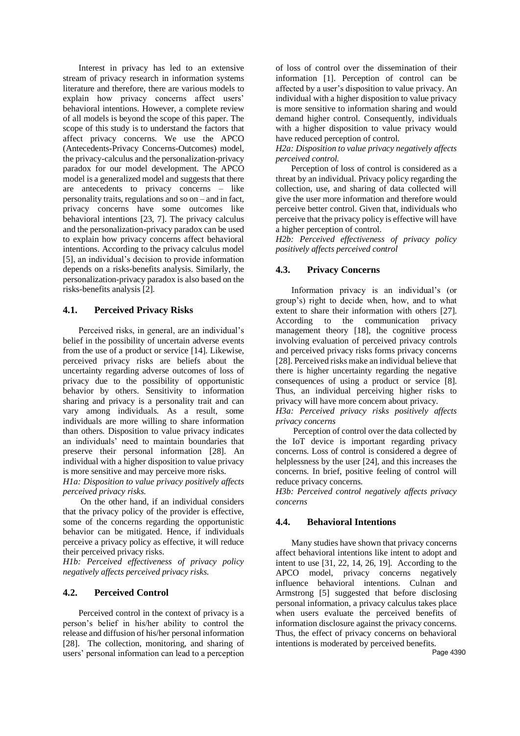Interest in privacy has led to an extensive stream of privacy research in information systems literature and therefore, there are various models to explain how privacy concerns affect users' behavioral intentions. However, a complete review of all models is beyond the scope of this paper. The scope of this study is to understand the factors that affect privacy concerns. We use the APCO (Antecedents-Privacy Concerns-Outcomes) model, the privacy-calculus and the personalization-privacy paradox for our model development. The APCO model is a generalized model and suggests that there are antecedents to privacy concerns – like personality traits, regulations and so on – and in fact, privacy concerns have some outcomes like behavioral intentions [23, 7]. The privacy calculus and the personalization-privacy paradox can be used to explain how privacy concerns affect behavioral intentions. According to the privacy calculus model [5], an individual's decision to provide information depends on a risks-benefits analysis. Similarly, the personalization-privacy paradox is also based on the risks-benefits analysis [2].

### **4.1. Perceived Privacy Risks**

Perceived risks, in general, are an individual's belief in the possibility of uncertain adverse events from the use of a product or service [14]. Likewise, perceived privacy risks are beliefs about the uncertainty regarding adverse outcomes of loss of privacy due to the possibility of opportunistic behavior by others. Sensitivity to information sharing and privacy is a personality trait and can vary among individuals. As a result, some individuals are more willing to share information than others. Disposition to value privacy indicates an individuals' need to maintain boundaries that preserve their personal information [28]. An individual with a higher disposition to value privacy is more sensitive and may perceive more risks.

*H1a: Disposition to value privacy positively affects perceived privacy risks.*

 On the other hand, if an individual considers that the privacy policy of the provider is effective, some of the concerns regarding the opportunistic behavior can be mitigated. Hence, if individuals perceive a privacy policy as effective, it will reduce their perceived privacy risks.

*H1b: Perceived effectiveness of privacy policy negatively affects perceived privacy risks.*

# **4.2. Perceived Control**

Perceived control in the context of privacy is a person's belief in his/her ability to control the release and diffusion of his/her personal information [28]. The collection, monitoring, and sharing of users' personal information can lead to a perception of loss of control over the dissemination of their information [1]. Perception of control can be affected by a user's disposition to value privacy. An individual with a higher disposition to value privacy is more sensitive to information sharing and would demand higher control. Consequently, individuals with a higher disposition to value privacy would have reduced perception of control.

*H2a: Disposition to value privacy negatively affects perceived control.*

 Perception of loss of control is considered as a threat by an individual. Privacy policy regarding the collection, use, and sharing of data collected will give the user more information and therefore would perceive better control. Given that, individuals who perceive that the privacy policy is effective will have a higher perception of control.

*H2b: Perceived effectiveness of privacy policy positively affects perceived control*

## **4.3. Privacy Concerns**

Information privacy is an individual's (or group's) right to decide when, how, and to what extent to share their information with others [27]. According to the communication privacy management theory [18], the cognitive process involving evaluation of perceived privacy controls and perceived privacy risks forms privacy concerns [28]. Perceived risks make an individual believe that there is higher uncertainty regarding the negative consequences of using a product or service [8]. Thus, an individual perceiving higher risks to privacy will have more concern about privacy.

*H3a: Perceived privacy risks positively affects privacy concerns*

 Perception of control over the data collected by the IoT device is important regarding privacy concerns. Loss of control is considered a degree of helplessness by the user [24], and this increases the concerns. In brief, positive feeling of control will reduce privacy concerns.

*H3b: Perceived control negatively affects privacy concerns*

### **4.4. Behavioral Intentions**

Many studies have shown that privacy concerns affect behavioral intentions like intent to adopt and intent to use [31, 22, 14, 26, 19]. According to the APCO model, privacy concerns negatively influence behavioral intentions. Culnan and Armstrong [5] suggested that before disclosing personal information, a privacy calculus takes place when users evaluate the perceived benefits of information disclosure against the privacy concerns. Thus, the effect of privacy concerns on behavioral intentions is moderated by perceived benefits.

Page 4390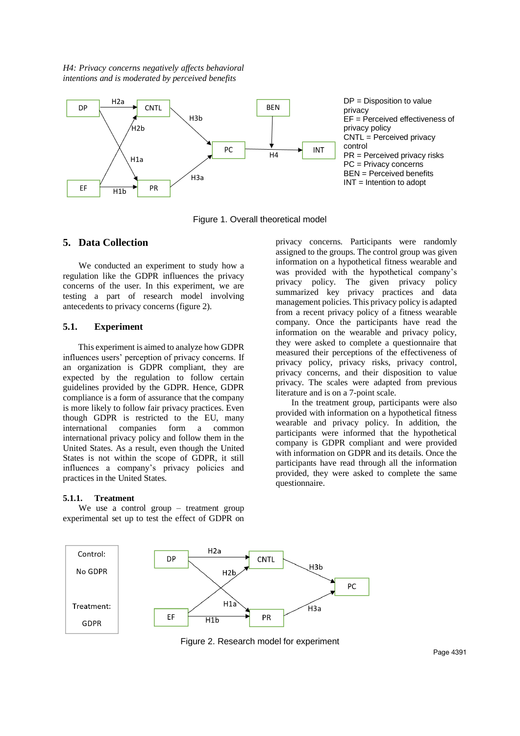*H4: Privacy concerns negatively affects behavioral intentions and is moderated by perceived benefits*



DP = Disposition to value privacy EF = Perceived effectiveness of privacy policy CNTL = Perceived privacy control PR = Perceived privacy risks PC = Privacy concerns BEN = Perceived benefits INT = Intention to adopt

Figure 1. Overall theoretical model

### **5. Data Collection**

We conducted an experiment to study how a regulation like the GDPR influences the privacy concerns of the user. In this experiment, we are testing a part of research model involving antecedents to privacy concerns (figure 2).

### **5.1. Experiment**

 This experiment is aimed to analyze how GDPR influences users' perception of privacy concerns. If an organization is GDPR compliant, they are expected by the regulation to follow certain guidelines provided by the GDPR. Hence, GDPR compliance is a form of assurance that the company is more likely to follow fair privacy practices. Even though GDPR is restricted to the EU, many international companies form a common international privacy policy and follow them in the United States. As a result, even though the United States is not within the scope of GDPR, it still influences a company's privacy policies and practices in the United States.

#### **5.1.1. Treatment**

We use a control group – treatment group experimental set up to test the effect of GDPR on privacy concerns. Participants were randomly assigned to the groups. The control group was given information on a hypothetical fitness wearable and was provided with the hypothetical company's privacy policy. The given privacy policy summarized key privacy practices and data management policies. This privacy policy is adapted from a recent privacy policy of a fitness wearable company. Once the participants have read the information on the wearable and privacy policy, they were asked to complete a questionnaire that measured their perceptions of the effectiveness of privacy policy, privacy risks, privacy control, privacy concerns, and their disposition to value privacy. The scales were adapted from previous literature and is on a 7-point scale.

In the treatment group, participants were also provided with information on a hypothetical fitness wearable and privacy policy. In addition, the participants were informed that the hypothetical company is GDPR compliant and were provided with information on GDPR and its details. Once the participants have read through all the information provided, they were asked to complete the same questionnaire.



Figure 2. Research model for experiment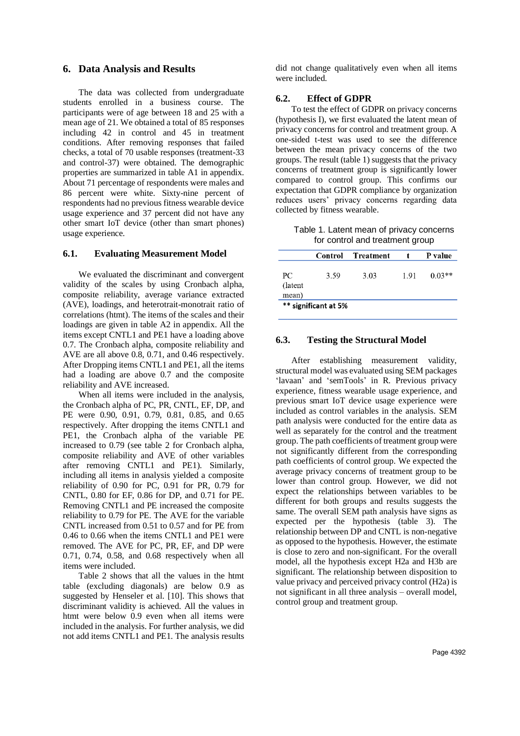### **6. Data Analysis and Results**

The data was collected from undergraduate students enrolled in a business course. The participants were of age between 18 and 25 with a mean age of 21. We obtained a total of 85 responses including 42 in control and 45 in treatment conditions. After removing responses that failed checks, a total of 70 usable responses (treatment-33 and control-37) were obtained. The demographic properties are summarized in table A1 in appendix. About 71 percentage of respondents were males and 86 percent were white. Sixty-nine percent of respondents had no previous fitness wearable device usage experience and 37 percent did not have any other smart IoT device (other than smart phones) usage experience.

#### **6.1. Evaluating Measurement Model**

We evaluated the discriminant and convergent validity of the scales by using Cronbach alpha, composite reliability, average variance extracted (AVE), loadings, and heterotrait-monotrait ratio of correlations (htmt). The items of the scales and their loadings are given in table A2 in appendix. All the items except CNTL1 and PE1 have a loading above 0.7. The Cronbach alpha, composite reliability and AVE are all above 0.8, 0.71, and 0.46 respectively. After Dropping items CNTL1 and PE1, all the items had a loading are above 0.7 and the composite reliability and AVE increased.

When all items were included in the analysis, the Cronbach alpha of PC, PR, CNTL, EF, DP, and PE were 0.90, 0.91, 0.79, 0.81, 0.85, and 0.65 respectively. After dropping the items CNTL1 and PE1, the Cronbach alpha of the variable PE increased to 0.79 (see table 2 for Cronbach alpha, composite reliability and AVE of other variables after removing CNTL1 and PE1). Similarly, including all items in analysis yielded a composite reliability of 0.90 for PC, 0.91 for PR, 0.79 for CNTL, 0.80 for EF, 0.86 for DP, and 0.71 for PE. Removing CNTL1 and PE increased the composite reliability to 0.79 for PE. The AVE for the variable CNTL increased from 0.51 to 0.57 and for PE from 0.46 to 0.66 when the items CNTL1 and PE1 were removed. The AVE for PC, PR, EF, and DP were 0.71, 0.74, 0.58, and 0.68 respectively when all items were included.

Table 2 shows that all the values in the htmt table (excluding diagonals) are below 0.9 as suggested by Henseler et al. [10]. This shows that discriminant validity is achieved. All the values in htmt were below 0.9 even when all items were included in the analysis. For further analysis, we did not add items CNTL1 and PE1. The analysis results did not change qualitatively even when all items were included.

#### **6.2. Effect of GDPR**

To test the effect of GDPR on privacy concerns (hypothesis I), we first evaluated the latent mean of privacy concerns for control and treatment group. A one-sided t-test was used to see the difference between the mean privacy concerns of the two groups. The result (table 1) suggests that the privacy concerns of treatment group is significantly lower compared to control group. This confirms our expectation that GDPR compliance by organization reduces users' privacy concerns regarding data collected by fitness wearable.

Table 1. Latent mean of privacy concerns for control and treatment group

|                         |      | Control Treatment |      | P value  |  |
|-------------------------|------|-------------------|------|----------|--|
| PC.<br>(latent<br>mean) | 3.59 | 3.03              | 1.91 | $0.03**$ |  |
| ** significant at 5%    |      |                   |      |          |  |

### **6.3. Testing the Structural Model**

After establishing measurement validity, structural model was evaluated using SEM packages 'lavaan' and 'semTools' in R. Previous privacy experience, fitness wearable usage experience, and previous smart IoT device usage experience were included as control variables in the analysis. SEM path analysis were conducted for the entire data as well as separately for the control and the treatment group. The path coefficients of treatment group were not significantly different from the corresponding path coefficients of control group. We expected the average privacy concerns of treatment group to be lower than control group. However, we did not expect the relationships between variables to be different for both groups and results suggests the same. The overall SEM path analysis have signs as expected per the hypothesis (table 3). The relationship between DP and CNTL is non-negative as opposed to the hypothesis. However, the estimate is close to zero and non-significant. For the overall model, all the hypothesis except H2a and H3b are significant. The relationship between disposition to value privacy and perceived privacy control (H2a) is not significant in all three analysis – overall model, control group and treatment group.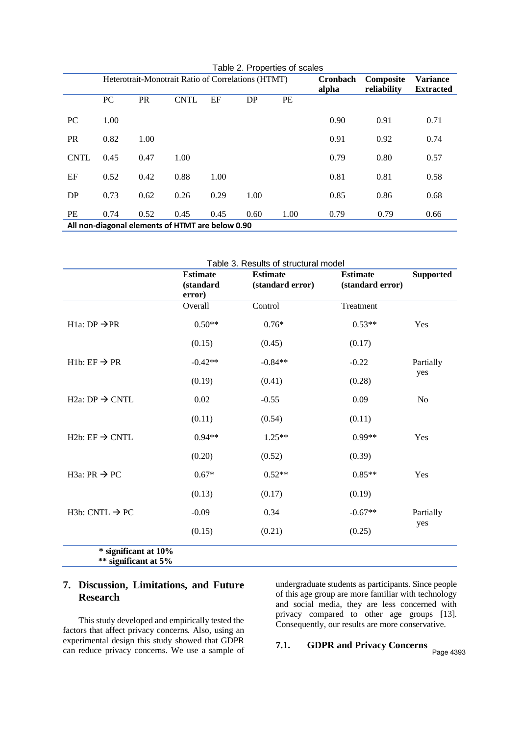| Table 2. Properties of scales                    |                                                    |           |             |      |          |           |                 |             |                  |
|--------------------------------------------------|----------------------------------------------------|-----------|-------------|------|----------|-----------|-----------------|-------------|------------------|
|                                                  | Heterotrait-Monotrait Ratio of Correlations (HTMT) |           |             |      | Cronbach | Composite | <b>Variance</b> |             |                  |
|                                                  |                                                    |           |             |      |          |           | alpha           | reliability | <b>Extracted</b> |
|                                                  | PC                                                 | <b>PR</b> | <b>CNTL</b> | EF   | DP       | PE        |                 |             |                  |
| PC                                               | 1.00                                               |           |             |      |          |           | 0.90            | 0.91        | 0.71             |
| <b>PR</b>                                        | 0.82                                               | 1.00      |             |      |          |           | 0.91            | 0.92        | 0.74             |
| <b>CNTL</b>                                      | 0.45                                               | 0.47      | 1.00        |      |          |           | 0.79            | 0.80        | 0.57             |
| EF                                               | 0.52                                               | 0.42      | 0.88        | 1.00 |          |           | 0.81            | 0.81        | 0.58             |
| DP                                               | 0.73                                               | 0.62      | 0.26        | 0.29 | 1.00     |           | 0.85            | 0.86        | 0.68             |
| PE                                               | 0.74                                               | 0.52      | 0.45        | 0.45 | 0.60     | 1.00      | 0.79            | 0.79        | 0.66             |
| All non-diagonal elements of HTMT are below 0.90 |                                                    |           |             |      |          |           |                 |             |                  |

|                                         | <b>Estimate</b> | <b>Estimate</b>  | <b>Estimate</b>  | <b>Supported</b> |
|-----------------------------------------|-----------------|------------------|------------------|------------------|
|                                         | (standard       | (standard error) | (standard error) |                  |
|                                         | error)          |                  |                  |                  |
|                                         | Overall         | Control          | Treatment        |                  |
| H <sub>1a</sub> : DP $\rightarrow$ PR   | $0.50**$        | $0.76*$          | $0.53**$         | Yes              |
|                                         | (0.15)          | (0.45)           | (0.17)           |                  |
| $H1b: EF \rightarrow PR$                | $-0.42**$       | $-0.84**$        | $-0.22$          | Partially        |
|                                         | (0.19)          | (0.41)           | (0.28)           | yes              |
| H <sub>2a</sub> : DP $\rightarrow$ CNTL | 0.02            | $-0.55$          | 0.09             | N <sub>o</sub>   |
|                                         | (0.11)          | (0.54)           | (0.11)           |                  |
| H <sub>2</sub> b: EF $\rightarrow$ CNTL | $0.94**$        | $1.25**$         | $0.99**$         | Yes              |
|                                         | (0.20)          | (0.52)           | (0.39)           |                  |
| H3a: PR $\rightarrow$ PC                | $0.67*$         | $0.52**$         | $0.85**$         | Yes              |
|                                         | (0.13)          | (0.17)           | (0.19)           |                  |
| H <sub>3</sub> b: CNTL $\rightarrow$ PC | $-0.09$         | 0.34             | $-0.67**$        | Partially        |
|                                         | (0.15)          | (0.21)           | (0.25)           | yes              |

# **7. Discussion, Limitations, and Future Research**

This study developed and empirically tested the factors that affect privacy concerns. Also, using an experimental design this study showed that GDPR can reduce privacy concerns. We use a sample of undergraduate students as participants. Since people of this age group are more familiar with technology and social media, they are less concerned with privacy compared to other age groups [13]. Consequently, our results are more conservative.

# **7.1. GDPR and Privacy Concerns**

Page 4393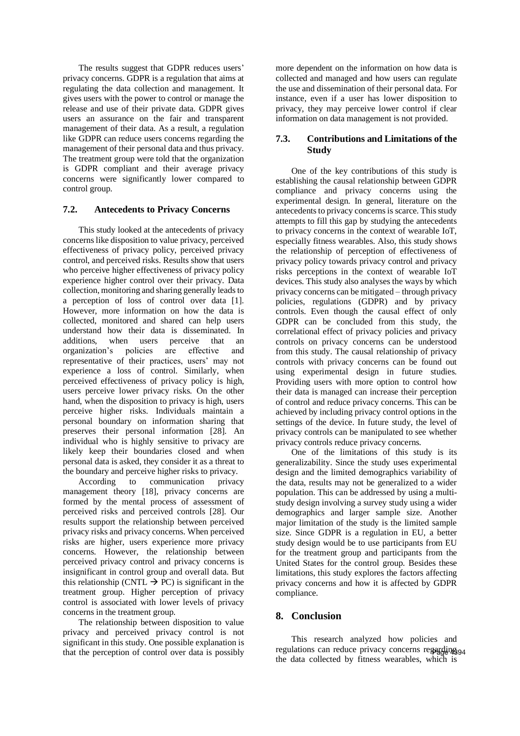The results suggest that GDPR reduces users' privacy concerns. GDPR is a regulation that aims at regulating the data collection and management. It gives users with the power to control or manage the release and use of their private data. GDPR gives users an assurance on the fair and transparent management of their data. As a result, a regulation like GDPR can reduce users concerns regarding the management of their personal data and thus privacy. The treatment group were told that the organization is GDPR compliant and their average privacy concerns were significantly lower compared to control group.

### **7.2. Antecedents to Privacy Concerns**

This study looked at the antecedents of privacy concerns like disposition to value privacy, perceived effectiveness of privacy policy, perceived privacy control, and perceived risks. Results show that users who perceive higher effectiveness of privacy policy experience higher control over their privacy. Data collection, monitoring and sharing generally leads to a perception of loss of control over data [1]. However, more information on how the data is collected, monitored and shared can help users understand how their data is disseminated. In additions, when users perceive that an organization's policies are effective and representative of their practices, users' may not experience a loss of control. Similarly, when perceived effectiveness of privacy policy is high, users perceive lower privacy risks. On the other hand, when the disposition to privacy is high, users perceive higher risks. Individuals maintain a personal boundary on information sharing that preserves their personal information [28]. An individual who is highly sensitive to privacy are likely keep their boundaries closed and when personal data is asked, they consider it as a threat to the boundary and perceive higher risks to privacy.

According to communication privacy management theory [18], privacy concerns are formed by the mental process of assessment of perceived risks and perceived controls [28]. Our results support the relationship between perceived privacy risks and privacy concerns. When perceived risks are higher, users experience more privacy concerns. However, the relationship between perceived privacy control and privacy concerns is insignificant in control group and overall data. But this relationship (CNTL  $\rightarrow$  PC) is significant in the treatment group. Higher perception of privacy control is associated with lower levels of privacy concerns in the treatment group.

The relationship between disposition to value privacy and perceived privacy control is not significant in this study. One possible explanation is that the perception of control over data is possibly more dependent on the information on how data is collected and managed and how users can regulate the use and dissemination of their personal data. For instance, even if a user has lower disposition to privacy, they may perceive lower control if clear information on data management is not provided.

## **7.3. Contributions and Limitations of the Study**

One of the key contributions of this study is establishing the causal relationship between GDPR compliance and privacy concerns using the experimental design. In general, literature on the antecedents to privacy concerns is scarce. This study attempts to fill this gap by studying the antecedents to privacy concerns in the context of wearable IoT, especially fitness wearables. Also, this study shows the relationship of perception of effectiveness of privacy policy towards privacy control and privacy risks perceptions in the context of wearable IoT devices. This study also analyses the ways by which privacy concerns can be mitigated – through privacy policies, regulations (GDPR) and by privacy controls. Even though the causal effect of only GDPR can be concluded from this study, the correlational effect of privacy policies and privacy controls on privacy concerns can be understood from this study. The causal relationship of privacy controls with privacy concerns can be found out using experimental design in future studies. Providing users with more option to control how their data is managed can increase their perception of control and reduce privacy concerns. This can be achieved by including privacy control options in the settings of the device. In future study, the level of privacy controls can be manipulated to see whether privacy controls reduce privacy concerns.

One of the limitations of this study is its generalizability. Since the study uses experimental design and the limited demographics variability of the data, results may not be generalized to a wider population. This can be addressed by using a multistudy design involving a survey study using a wider demographics and larger sample size. Another major limitation of the study is the limited sample size. Since GDPR is a regulation in EU, a better study design would be to use participants from EU for the treatment group and participants from the United States for the control group. Besides these limitations, this study explores the factors affecting privacy concerns and how it is affected by GDPR compliance.

# **8. Conclusion**

This research analyzed how policies and regulations can reduce privacy concerns regarding 94 the data collected by fitness wearables, which is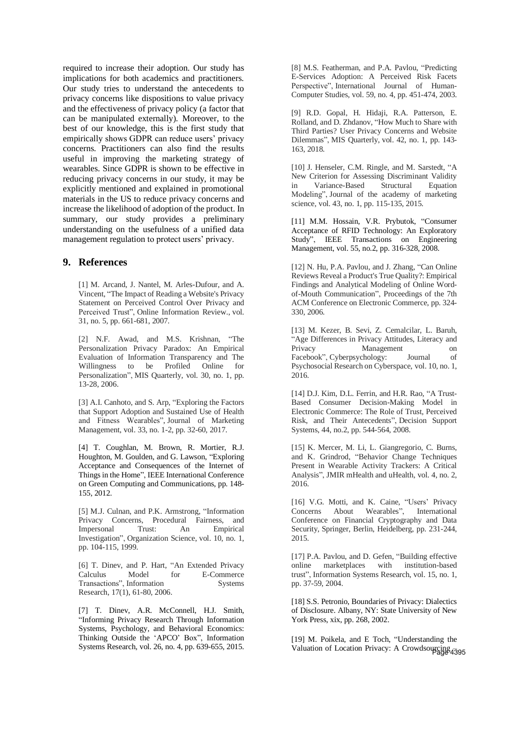required to increase their adoption. Our study has implications for both academics and practitioners. Our study tries to understand the antecedents to privacy concerns like dispositions to value privacy and the effectiveness of privacy policy (a factor that can be manipulated externally). Moreover, to the best of our knowledge, this is the first study that empirically shows GDPR can reduce users' privacy concerns. Practitioners can also find the results useful in improving the marketing strategy of wearables. Since GDPR is shown to be effective in reducing privacy concerns in our study, it may be explicitly mentioned and explained in promotional materials in the US to reduce privacy concerns and increase the likelihood of adoption of the product. In summary, our study provides a preliminary understanding on the usefulness of a unified data management regulation to protect users' privacy.

## **9. References**

[1] M. Arcand, J. Nantel, M. Arles-Dufour, and A. Vincent, "The Impact of Reading a Website's Privacy Statement on Perceived Control Over Privacy and Perceived Trust", Online Information Review., vol. 31, no. 5, pp. 661-681, 2007.

[2] N.F. Awad, and M.S. Krishnan, "The Personalization Privacy Paradox: An Empirical Evaluation of Information Transparency and The Willingness to be Profiled Online for Personalization", MIS Quarterly, vol. 30, no. 1, pp. 13-28, 2006.

[3] A.I. Canhoto, and S. Arp, "Exploring the Factors that Support Adoption and Sustained Use of Health and Fitness Wearables", Journal of Marketing Management, vol. 33, no. 1-2, pp. 32-60, 2017.

[4] T. Coughlan, M. Brown, R. Mortier, R.J. Houghton, M. Goulden, and G. Lawson, "Exploring Acceptance and Consequences of the Internet of Things in the Home", IEEE International Conference on Green Computing and Communications, pp. 148- 155, 2012.

[5] M.J. Culnan, and P.K. Armstrong, "Information Privacy Concerns, Procedural Fairness, and Impersonal Trust: An Empirical Investigation", Organization Science, vol. 10, no. 1, pp. 104-115, 1999.

[6] T. Dinev, and P. Hart, "An Extended Privacy Calculus Model for E-Commerce Transactions", Information Systems Research, 17(1), 61-80, 2006.

[7] T. Dinev, A.R. McConnell, H.J. Smith, "Informing Privacy Research Through Information Systems, Psychology, and Behavioral Economics: Thinking Outside the 'APCO' Box", Information Systems Research, vol. 26, no. 4, pp. 639-655, 2015.

[8] M.S. Featherman, and P.A. Pavlou, "Predicting E-Services Adoption: A Perceived Risk Facets Perspective", International Journal of Human-Computer Studies, vol. 59, no. 4, pp. 451-474, 2003.

[9] R.D. Gopal, H. Hidaji, R.A. Patterson, E. Rolland, and D. Zhdanov, "How Much to Share with Third Parties? User Privacy Concerns and Website Dilemmas", MIS Quarterly, vol. 42, no. 1, pp. 143- 163, 2018.

[10] J. Henseler, C.M. Ringle, and M. Sarstedt, "A New Criterion for Assessing Discriminant Validity in Variance-Based Structural Equation Modeling", Journal of the academy of marketing science, vol. 43, no. 1, pp. 115-135, 2015.

[11] M.M. Hossain, V.R. Prybutok, "Consumer Acceptance of RFID Technology: An Exploratory Study", IEEE Transactions on Engineering Management, vol. 55, no.2, pp. 316-328, 2008.

[12] N. Hu, P.A. Pavlou, and J. Zhang, "Can Online Reviews Reveal a Product's True Quality?: Empirical Findings and Analytical Modeling of Online Wordof-Mouth Communication", Proceedings of the 7th ACM Conference on Electronic Commerce, pp. 324- 330, 2006.

[13] M. Kezer, B. Sevi, Z. Cemalcilar, L. Baruh, "Age Differences in Privacy Attitudes, Literacy and Privacy Management on Facebook", Cyberpsychology: Journal of Psychosocial Research on Cyberspace, vol. 10, no. 1, 2016.

[14] D.J. Kim, D.L. Ferrin, and H.R. Rao, "A Trust-Based Consumer Decision-Making Model in Electronic Commerce: The Role of Trust, Perceived Risk, and Their Antecedents", Decision Support Systems, 44, no.2, pp. 544-564, 2008.

[15] K. Mercer, M. Li, L. Giangregorio, C. Burns, and K. Grindrod, "Behavior Change Techniques Present in Wearable Activity Trackers: A Critical Analysis", JMIR mHealth and uHealth, vol. 4, no. 2, 2016.

[16] V.G. Motti, and K. Caine, "Users' Privacy Concerns About Wearables", Conference on Financial Cryptography and Data Security, Springer, Berlin, Heidelberg, pp. 231-244, 2015.

[17] P.A. Pavlou, and D. Gefen, "Building effective online marketplaces with institution-based trust", Information Systems Research, vol. 15, no. 1, pp. 37-59, 2004.

[18] S.S. Petronio, Boundaries of Privacy: Dialectics of Disclosure. Albany, NY: State University of New York Press, xix, pp. 268, 2002.

[19] M. Poikela, and E Toch, "Understanding the Valuation of Location Privacy: A Crowdsourcing 4395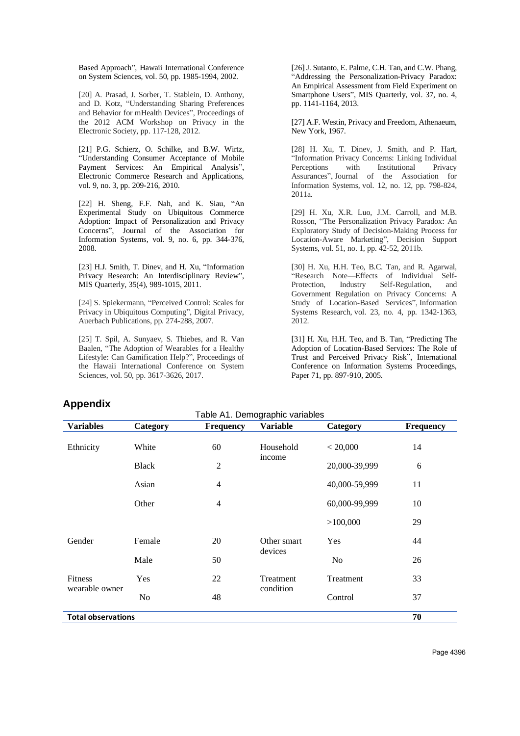Based Approach", Hawaii International Conference on System Sciences, vol. 50, pp. 1985-1994, 2002.

[20] A. Prasad, J. Sorber, T. Stablein, D. Anthony, and D. Kotz, "Understanding Sharing Preferences and Behavior for mHealth Devices", Proceedings of the 2012 ACM Workshop on Privacy in the Electronic Society, pp. 117-128, 2012.

[21] P.G. Schierz, O. Schilke, and B.W. Wirtz, "Understanding Consumer Acceptance of Mobile Payment Services: An Empirical Analysis", Electronic Commerce Research and Applications, vol. 9, no. 3, pp. 209-216, 2010.

[22] H. Sheng, F.F. Nah, and K. Siau, "An Experimental Study on Ubiquitous Commerce Adoption: Impact of Personalization and Privacy Concerns", Journal of the Association for Information Systems, vol. 9, no. 6, pp. 344-376, 2008.

[23] H.J. Smith, T. Dinev, and H. Xu, "Information Privacy Research: An Interdisciplinary Review", MIS Quarterly, 35(4), 989-1015, 2011.

[24] S. Spiekermann, "Perceived Control: Scales for Privacy in Ubiquitous Computing", Digital Privacy, Auerbach Publications, pp. 274-288, 2007.

[25] T. Spil, A. Sunyaev, S. Thiebes, and R. Van Baalen, "The Adoption of Wearables for a Healthy Lifestyle: Can Gamification Help?", Proceedings of the Hawaii International Conference on System Sciences, vol. 50, pp. 3617-3626, 2017.

[26] J. Sutanto, E. Palme, C.H. Tan, and C.W. Phang, "Addressing the Personalization-Privacy Paradox: An Empirical Assessment from Field Experiment on Smartphone Users", MIS Quarterly, vol. 37, no. 4, pp. 1141-1164, 2013.

[27] A.F. Westin, Privacy and Freedom, Athenaeum, New York, 1967.

[28] H. Xu, T. Dinev, J. Smith, and P. Hart, "Information Privacy Concerns: Linking Individual Perceptions with Institutional Privacy Assurances", Journal of the Association for Information Systems, vol. 12, no. 12, pp. 798-824, 2011a.

[29] H. Xu, X.R. Luo, J.M. Carroll, and M.B. Rosson, "The Personalization Privacy Paradox: An Exploratory Study of Decision-Making Process for Location-Aware Marketing", Decision Support Systems, vol. 51, no. 1, pp. 42-52, 2011b.

[30] H. Xu, H.H. Teo, B.C. Tan, and R. Agarwal, "Research Note—Effects of Individual Self-Protection, Industry Self-Regulation, and Government Regulation on Privacy Concerns: A Study of Location-Based Services", Information Systems Research, vol. 23, no. 4, pp. 1342-1363, 2012.

[31] H. Xu, H.H. Teo, and B. Tan, "Predicting The Adoption of Location-Based Services: The Role of Trust and Perceived Privacy Risk", International Conference on Information Systems Proceedings, Paper 71, pp. 897-910, 2005.

# **Appendix**

| <b>Variables</b>                 | Category       | <b>Frequency</b> | Table A1. Demographic variables<br><b>Variable</b> | Category      | Frequency |  |
|----------------------------------|----------------|------------------|----------------------------------------------------|---------------|-----------|--|
| Ethnicity                        | White          | 60               | Household<br>income                                | < 20,000      | 14        |  |
|                                  | <b>Black</b>   | $\overline{2}$   |                                                    | 20,000-39,999 | 6         |  |
|                                  | Asian          | 4                |                                                    | 40,000-59,999 | 11        |  |
|                                  | Other          | 4                |                                                    | 60,000-99,999 | 10        |  |
|                                  |                |                  |                                                    | >100,000      | 29        |  |
| Gender                           | Female         | 20               | Other smart                                        | Yes           | 44        |  |
|                                  | Male           | 50               | devices                                            | No            | 26        |  |
| <b>Fitness</b><br>wearable owner | Yes            | 22               | Treatment                                          | Treatment     | 33        |  |
|                                  | N <sub>0</sub> | 48               | condition                                          | Control       | 37        |  |
| 70<br><b>Total observations</b>  |                |                  |                                                    |               |           |  |